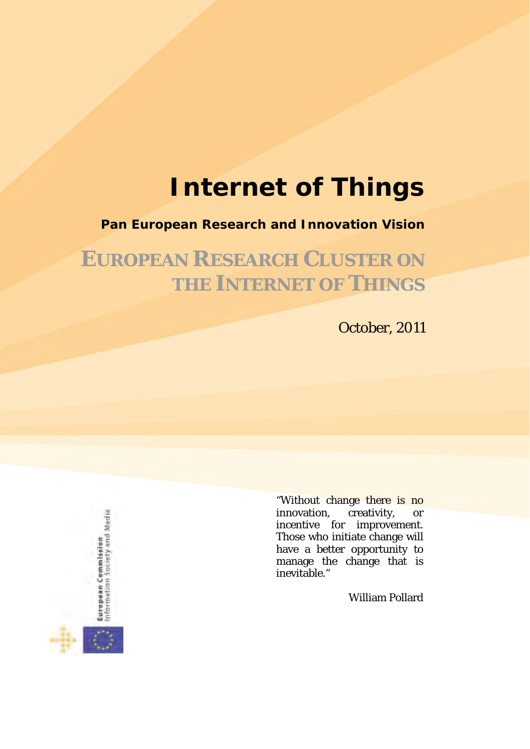# **Internet of Things**

#### **Pan European Research and Innovation Vision**

**EUROPEAN RESEARCH CLUSTER ON THE INTERNET OF THINGS**

October, 2011

European Commission<br>Information Society and Media

"Without change there is no innovation, creativity, or incentive for improvement. Those who initiate change will have a better opportunity to manage the change that is inevitable."

William Pollard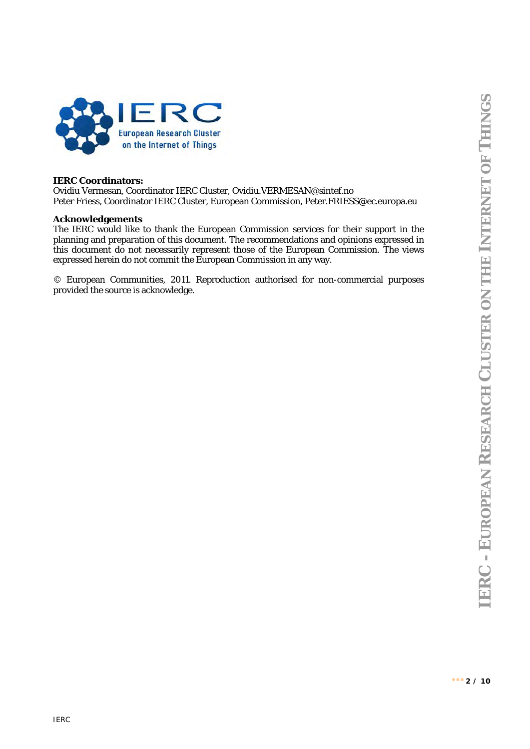

#### **IERC Coordinators:**

Ovidiu Vermesan, Coordinator IERC Cluster, Ovidiu.VERMESAN@sintef.no Peter Friess, Coordinator IERC Cluster, European Commission, Peter.FRIESS@ec.europa.eu

#### **Acknowledgements**

The IERC would like to thank the European Commission services for their support in the planning and preparation of this document. The recommendations and opinions expressed in this document do not necessarily represent those of the European Commission. The views expressed herein do not commit the European Commission in any way.

© European Communities, 2011. Reproduction authorised for non-commercial purposes provided the source is acknowledge.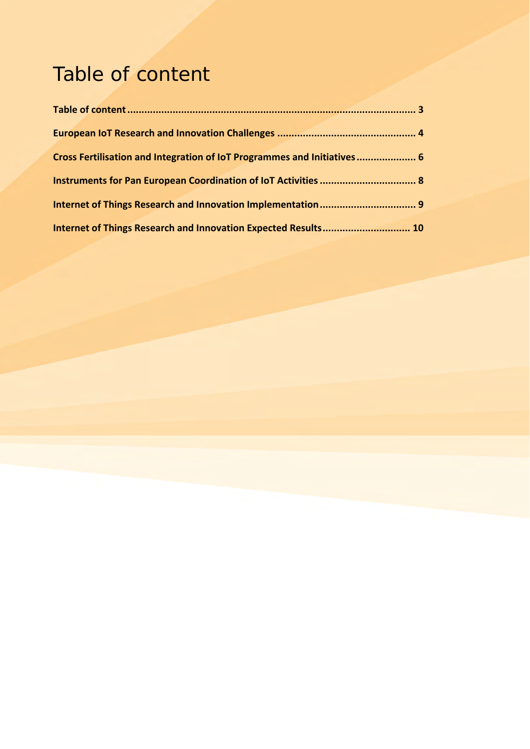## Table of content

| Cross Fertilisation and Integration of IoT Programmes and Initiatives 6 |  |
|-------------------------------------------------------------------------|--|
|                                                                         |  |
|                                                                         |  |
| Internet of Things Research and Innovation Expected Results 10          |  |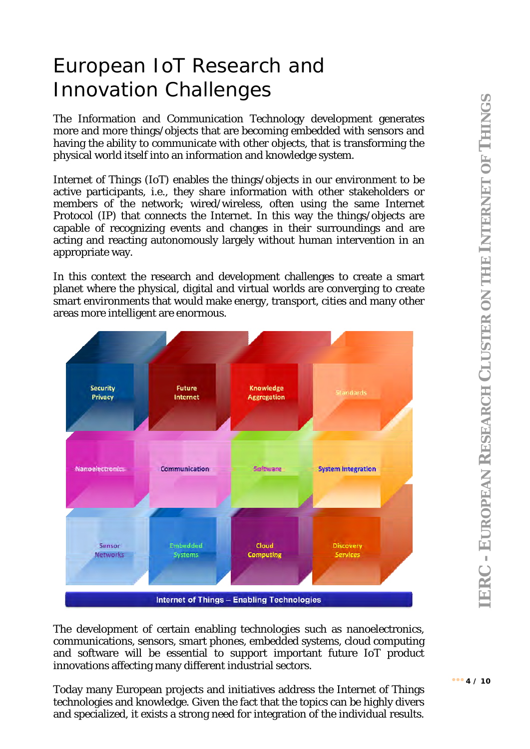#### European IoT Research and Innovation Challenges

The Information and Communication Technology development generates more and more things/objects that are becoming embedded with sensors and having the ability to communicate with other objects, that is transforming the physical world itself into an information and knowledge system.

Internet of Things (IoT) enables the things/objects in our environment to be active participants, i.e., they share information with other stakeholders or members of the network; wired/wireless, often using the same Internet Protocol (IP) that connects the Internet. In this way the things/objects are capable of recognizing events and changes in their surroundings and are acting and reacting autonomously largely without human intervention in an appropriate way.

In this context the research and development challenges to create a smart planet where the physical, digital and virtual worlds are converging to create smart environments that would make energy, transport, cities and many other areas more intelligent are enormous.



The development of certain enabling technologies such as nanoelectronics, communications, sensors, smart phones, embedded systems, cloud computing and software will be essential to support important future IoT product innovations affecting many different industrial sectors.

Today many European projects and initiatives address the Internet of Things technologies and knowledge. Given the fact that the topics can be highly divers and specialized, it exists a strong need for integration of the individual results.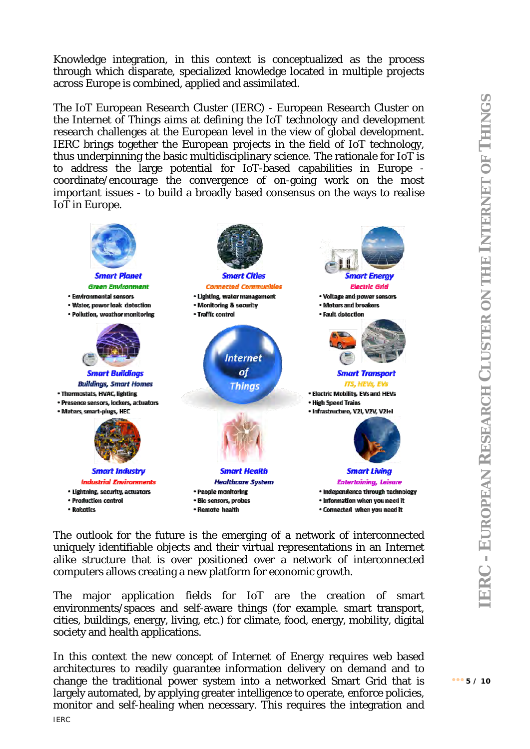Knowledge integration, in this context is conceptualized as the process through which disparate, specialized knowledge located in multiple projects across Europe is combined, applied and assimilated.

The IoT European Research Cluster (IERC) - European Research Cluster on the Internet of Things aims at defining the IoT technology and development research challenges at the European level in the view of global development. IERC brings together the European projects in the field of IoT technology, thus underpinning the basic multidisciplinary science. The rationale for IoT is to address the large potential for IoT-based capabilities in Europe coordinate/encourage the convergence of on-going work on the most important issues - to build a broadly based consensus on the ways to realise IoT in Europe.



The outlook for the future is the emerging of a network of interconnected uniquely identifiable objects and their virtual representations in an Internet alike structure that is over positioned over a network of interconnected computers allows creating a new platform for economic growth.

The major application fields for IoT are the creation of smart environments/spaces and self-aware things (for example, smart transport, cities, buildings, energy, living, etc.) for climate, food, energy, mobility, digital society and health applications.

IERC In this context the new concept of Internet of Energy requires web based architectures to readily guarantee information delivery on demand and to change the traditional power system into a networked Smart Grid that is largely automated, by applying greater intelligence to operate, enforce policies, monitor and self-healing when necessary. This requires the integration and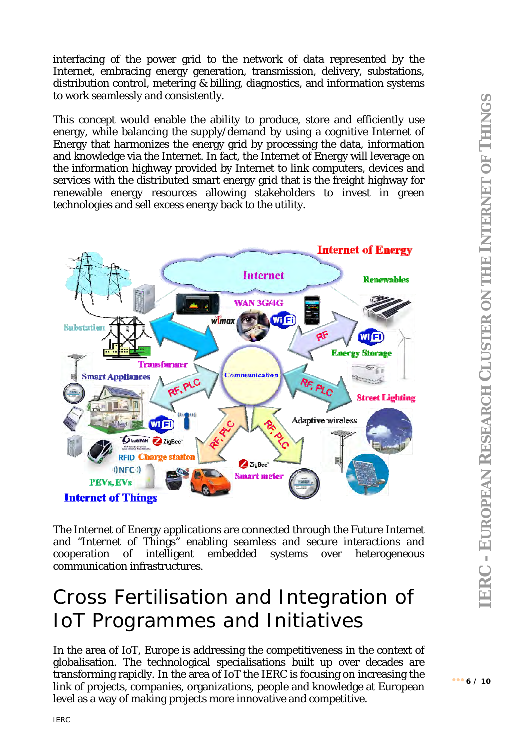interfacing of the power grid to the network of data represented by the Internet, embracing energy generation, transmission, delivery, substations, distribution control, metering & billing, diagnostics, and information systems to work seamlessly and consistently.

This concept would enable the ability to produce, store and efficiently use energy, while balancing the supply/demand by using a cognitive Internet of Energy that harmonizes the energy grid by processing the data, information and knowledge via the Internet. In fact, the Internet of Energy will leverage on the information highway provided by Internet to link computers, devices and services with the distributed smart energy grid that is the freight highway for renewable energy resources allowing stakeholders to invest in green technologies and sell excess energy back to the utility.



The Internet of Energy applications are connected through the Future Internet and "Internet of Things" enabling seamless and secure interactions and cooperation of intelligent embedded systems over heterogeneous communication infrastructures.

#### Cross Fertilisation and Integration of IoT Programmes and Initiatives

In the area of IoT, Europe is addressing the competitiveness in the context of globalisation. The technological specialisations built up over decades are transforming rapidly. In the area of IoT the IERC is focusing on increasing the link of projects, companies, organizations, people and knowledge at European level as a way of making projects more innovative and competitive.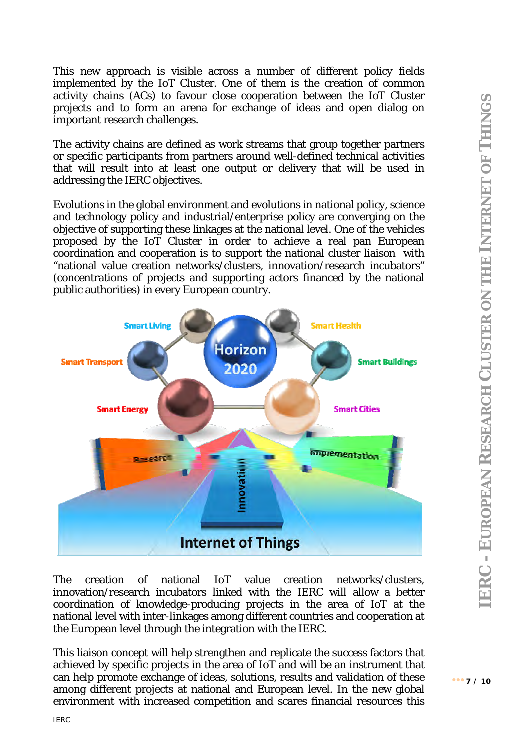$... 7 / 10$ 

This new approach is visible across a number of different policy fields implemented by the IoT Cluster. One of them is the creation of common activity chains (ACs) to favour close cooperation between the IoT Cluster projects and to form an arena for exchange of ideas and open dialog on important research challenges.

The activity chains are defined as work streams that group together partners or specific participants from partners around well-defined technical activities that will result into at least one output or delivery that will be used in addressing the IERC objectives.

Evolutions in the global environment and evolutions in national policy, science and technology policy and industrial/enterprise policy are converging on the objective of supporting these linkages at the national level. One of the vehicles proposed by the IoT Cluster in order to achieve a real pan European coordination and cooperation is to support the national cluster liaison with "national value creation networks/clusters, innovation/research incubators" (concentrations of projects and supporting actors financed by the national public authorities) in every European country.



The creation of national IoT value creation networks/clusters, innovation/research incubators linked with the IERC will allow a better coordination of knowledge-producing projects in the area of IoT at the national level with inter-linkages among different countries and cooperation at the European level through the integration with the IERC.

This liaison concept will help strengthen and replicate the success factors that achieved by specific projects in the area of IoT and will be an instrument that can help promote exchange of ideas, solutions, results and validation of these among different projects at national and European level. In the new global environment with increased competition and scares financial resources this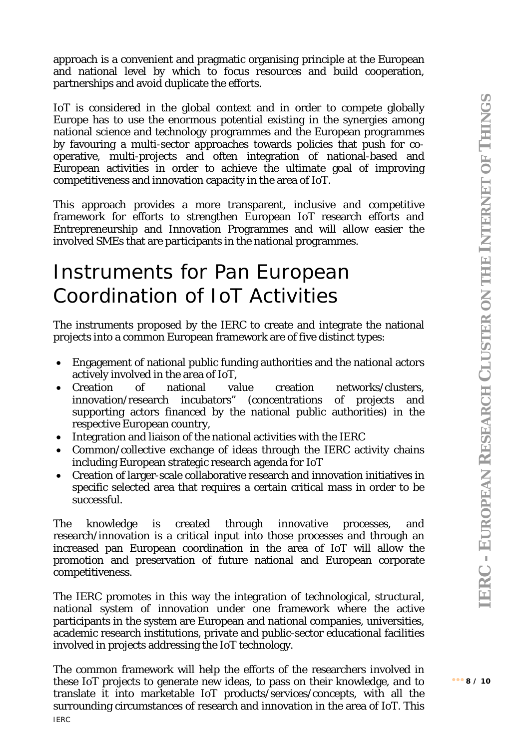approach is a convenient and pragmatic organising principle at the European and national level by which to focus resources and build cooperation, partnerships and avoid duplicate the efforts.

IoT is considered in the global context and in order to compete globally Europe has to use the enormous potential existing in the synergies among national science and technology programmes and the European programmes by favouring a multi-sector approaches towards policies that push for cooperative, multi-projects and often integration of national-based and European activities in order to achieve the ultimate goal of improving competitiveness and innovation capacity in the area of IoT.

This approach provides a more transparent, inclusive and competitive framework for efforts to strengthen European IoT research efforts and Entrepreneurship and Innovation Programmes and will allow easier the involved SMEs that are participants in the national programmes.

#### Instruments for Pan European Coordination of IoT Activities

The instruments proposed by the IERC to create and integrate the national projects into a common European framework are of five distinct types:

- Engagement of national public funding authorities and the national actors actively involved in the area of IoT,
- Creation of national value creation networks/clusters, innovation/research incubators" (concentrations of projects and supporting actors financed by the national public authorities) in the respective European country,
- Integration and liaison of the national activities with the IERC
- Common/collective exchange of ideas through the IERC activity chains including European strategic research agenda for IoT
- Creation of larger-scale collaborative research and innovation initiatives in specific selected area that requires a certain critical mass in order to be successful.

The knowledge is created through innovative processes, and research/innovation is a critical input into those processes and through an increased pan European coordination in the area of IoT will allow the promotion and preservation of future national and European corporate competitiveness.

The IERC promotes in this way the integration of technological, structural, national system of innovation under one framework where the active participants in the system are European and national companies, universities, academic research institutions, private and public-sector educational facilities involved in projects addressing the IoT technology.

IERC The common framework will help the efforts of the researchers involved in these IoT projects to generate new ideas, to pass on their knowledge, and to translate it into marketable IoT products/services/concepts, with all the surrounding circumstances of research and innovation in the area of IoT. This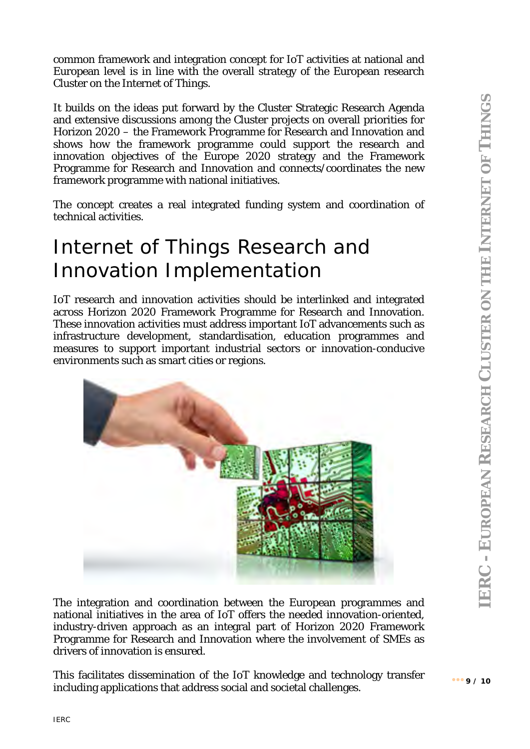common framework and integration concept for IoT activities at national and European level is in line with the overall strategy of the European research Cluster on the Internet of Things.

It builds on the ideas put forward by the Cluster Strategic Research Agenda and extensive discussions among the Cluster projects on overall priorities for Horizon 2020 – the Framework Programme for Research and Innovation and shows how the framework programme could support the research and innovation objectives of the Europe 2020 strategy and the Framework Programme for Research and Innovation and connects/coordinates the new framework programme with national initiatives.

The concept creates a real integrated funding system and coordination of technical activities.

### Internet of Things Research and Innovation Implementation

IoT research and innovation activities should be interlinked and integrated across Horizon 2020 Framework Programme for Research and Innovation. These innovation activities must address important IoT advancements such as infrastructure development, standardisation, education programmes and measures to support important industrial sectors or innovation-conducive environments such as smart cities or regions.



The integration and coordination between the European programmes and national initiatives in the area of IoT offers the needed innovation-oriented, industry-driven approach as an integral part of Horizon 2020 Framework Programme for Research and Innovation where the involvement of SMEs as drivers of innovation is ensured.

This facilitates dissemination of the IoT knowledge and technology transfer including applications that address social and societal challenges.